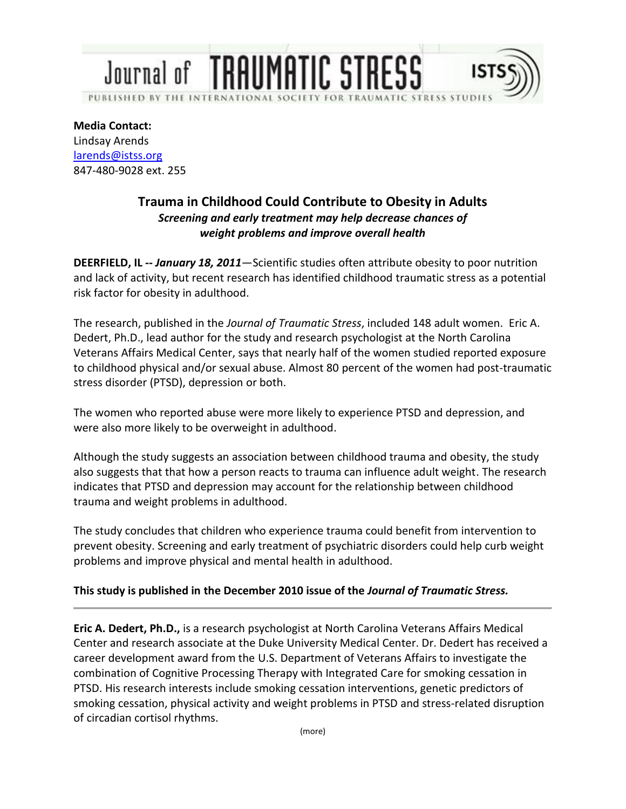## **Journal of TRAUMATIC STRESS** PUBLISHED BY THE INTERNATIO **AUMATIC STRESS STUDIE**

**Media Contact:** Lindsay Arends larends@istss.org 847-480-9028 ext. 255

## **Trauma in Childhood Could Contribute to Obesity in Adults** *Screening and early treatment may help decrease chances of weight problems and improve overall health*

**DEERFIELD, IL --** *January 18, 2011*—Scientific studies often attribute obesity to poor nutrition and lack of activity, but recent research has identified childhood traumatic stress as a potential risk factor for obesity in adulthood.

The research, published in the *Journal of Traumatic Stress*, included 148 adult women. Eric A. Dedert, Ph.D., lead author for the study and research psychologist at the North Carolina Veterans Affairs Medical Center, says that nearly half of the women studied reported exposure to childhood physical and/or sexual abuse. Almost 80 percent of the women had post-traumatic stress disorder (PTSD), depression or both.

The women who reported abuse were more likely to experience PTSD and depression, and were also more likely to be overweight in adulthood.

Although the study suggests an association between childhood trauma and obesity, the study also suggests that that how a person reacts to trauma can influence adult weight. The research indicates that PTSD and depression may account for the relationship between childhood trauma and weight problems in adulthood.

The study concludes that children who experience trauma could benefit from intervention to prevent obesity. Screening and early treatment of psychiatric disorders could help curb weight problems and improve physical and mental health in adulthood.

## **This study is published in the December 2010 issue of the** *Journal of Traumatic Stress.*

**Eric A. Dedert, Ph.D.,** is a research psychologist at North Carolina Veterans Affairs Medical Center and research associate at the Duke University Medical Center. Dr. Dedert has received a career development award from the U.S. Department of Veterans Affairs to investigate the combination of Cognitive Processing Therapy with Integrated Care for smoking cessation in PTSD. His research interests include smoking cessation interventions, genetic predictors of smoking cessation, physical activity and weight problems in PTSD and stress-related disruption of circadian cortisol rhythms.